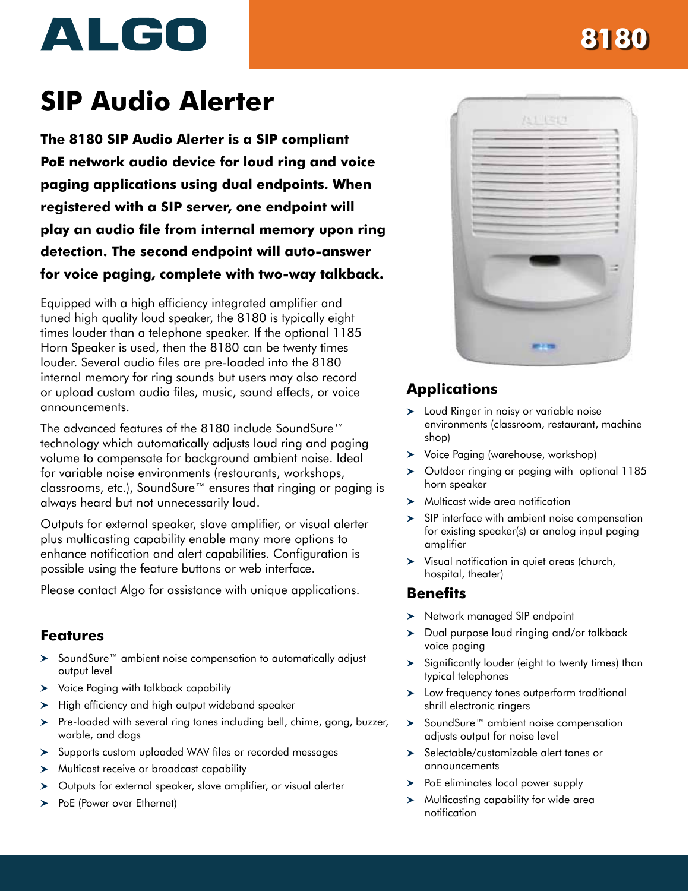# ALGO

# **8180**

# **SIP Audio Alerter**

**The 8180 SIP Audio Alerter is a SIP compliant PoE network audio device for loud ring and voice paging applications using dual endpoints. When registered with a SIP server, one endpoint will play an audio file from internal memory upon ring detection. The second endpoint will auto-answer for voice paging, complete with two-way talkback.**

Equipped with a high efficiency integrated amplifier and tuned high quality loud speaker, the 8180 is typically eight times louder than a telephone speaker. If the optional 1185 Horn Speaker is used, then the 8180 can be twenty times louder. Several audio files are pre-loaded into the 8180 internal memory for ring sounds but users may also record or upload custom audio files, music, sound effects, or voice announcements.

The advanced features of the 8180 include SoundSure™ technology which automatically adjusts loud ring and paging volume to compensate for background ambient noise. Ideal for variable noise environments (restaurants, workshops, classrooms, etc.), SoundSure™ ensures that ringing or paging is always heard but not unnecessarily loud.

Outputs for external speaker, slave amplifier, or visual alerter plus multicasting capability enable many more options to enhance notification and alert capabilities. Configuration is possible using the feature buttons or web interface.

Please [contact](mailto:sales%40algosolutions.com?subject=8180%20SIP%20Audio%20Alerter%20-%20Application%20Assistance%20) Algo for assistance with unique applications.

#### **Features**

- > SoundSure™ ambient noise compensation to automatically adjust output level
- Voice Paging with talkback capability
- $\blacktriangleright$  High efficiency and high output wideband speaker
- > Pre-loaded with several ring tones including bell, chime, gong, buzzer, warble, and dogs
- > Supports custom uploaded WAV files or recorded messages
- > Multicast receive or broadcast capability
- Outputs for external speaker, slave amplifier, or visual alerter
- > PoE (Power over Ethernet)



## **Applications**

- > Loud Ringer in noisy or variable noise environments (classroom, restaurant, machine shop)
- Voice Paging (warehouse, workshop)
- $\geq$  Outdoor ringing or paging with optional 1185 horn speaker
- > Multicast wide area notification
- $\geq$  SIP interface with ambient noise compensation for existing speaker(s) or analog input paging amplifier
- Visual notification in quiet areas (church, hospital, theater)

#### **Benefits**

- > Network managed SIP endpoint
- $\geq$  Dual purpose loud ringing and/or talkback voice paging
- $\blacktriangleright$  Significantly louder (eight to twenty times) than typical telephones
- Low frequency tones outperform traditional shrill electronic ringers
- > SoundSure™ ambient noise compensation adjusts output for noise level
- > Selectable/customizable alert tones or announcements
- $\triangleright$  PoE eliminates local power supply
- $\triangleright$  Multicasting capability for wide area notification